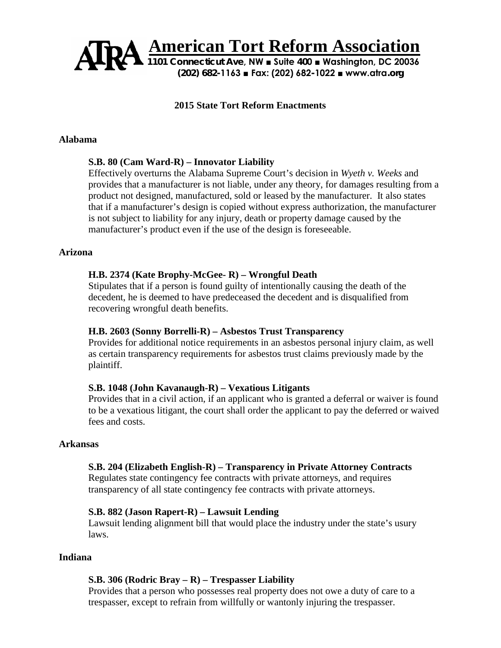

### **2015 State Tort Reform Enactments**

#### **Alabama**

#### **S.B. 80 (Cam Ward-R) – Innovator Liability**

Effectively overturns the Alabama Supreme Court's decision in *Wyeth v. Weeks* and provides that a manufacturer is not liable, under any theory, for damages resulting from a product not designed, manufactured, sold or leased by the manufacturer. It also states that if a manufacturer's design is copied without express authorization, the manufacturer is not subject to liability for any injury, death or property damage caused by the manufacturer's product even if the use of the design is foreseeable.

### **Arizona**

#### **H.B. 2374 (Kate Brophy-McGee- R) – Wrongful Death**

Stipulates that if a person is found guilty of intentionally causing the death of the decedent, he is deemed to have predeceased the decedent and is disqualified from recovering wrongful death benefits.

#### **H.B. 2603 (Sonny Borrelli-R) – Asbestos Trust Transparency**

Provides for additional notice requirements in an asbestos personal injury claim, as well as certain transparency requirements for asbestos trust claims previously made by the plaintiff.

#### **S.B. 1048 (John Kavanaugh-R) – Vexatious Litigants**

Provides that in a civil action, if an applicant who is granted a deferral or waiver is found to be a vexatious litigant, the court shall order the applicant to pay the deferred or waived fees and costs.

### **Arkansas**

#### **S.B. 204 (Elizabeth English-R) – Transparency in Private Attorney Contracts**

Regulates state contingency fee contracts with private attorneys, and requires transparency of all state contingency fee contracts with private attorneys.

#### **S.B. 882 (Jason Rapert-R) – Lawsuit Lending**

Lawsuit lending alignment bill that would place the industry under the state's usury laws.

### **Indiana**

#### **S.B. 306 (Rodric Bray – R) – Trespasser Liability**

Provides that a person who possesses real property does not owe a duty of care to a trespasser, except to refrain from willfully or wantonly injuring the trespasser.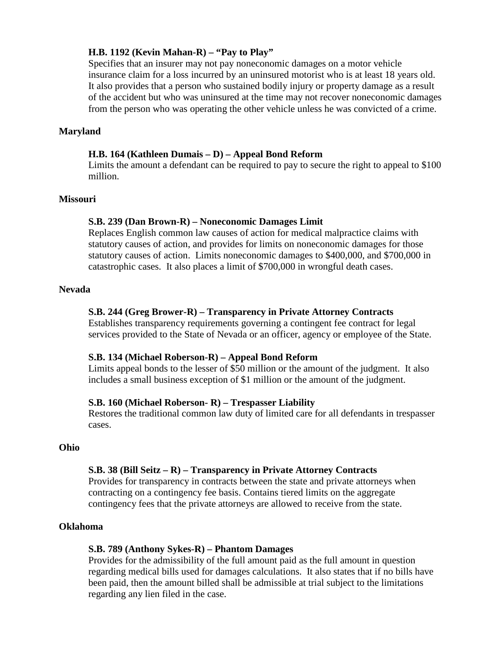### **H.B. 1192 (Kevin Mahan-R) – "Pay to Play"**

Specifies that an insurer may not pay noneconomic damages on a motor vehicle insurance claim for a loss incurred by an uninsured motorist who is at least 18 years old. It also provides that a person who sustained bodily injury or property damage as a result of the accident but who was uninsured at the time may not recover noneconomic damages from the person who was operating the other vehicle unless he was convicted of a crime.

### **Maryland**

### **H.B. 164 (Kathleen Dumais – D) – Appeal Bond Reform**

Limits the amount a defendant can be required to pay to secure the right to appeal to \$100 million.

#### **Missouri**

### **S.B. 239 (Dan Brown-R) – Noneconomic Damages Limit**

Replaces English common law causes of action for medical malpractice claims with statutory causes of action, and provides for limits on noneconomic damages for those statutory causes of action. Limits noneconomic damages to \$400,000, and \$700,000 in catastrophic cases. It also places a limit of \$700,000 in wrongful death cases.

#### **Nevada**

### **S.B. 244 (Greg Brower-R) – Transparency in Private Attorney Contracts**

Establishes transparency requirements governing a contingent fee contract for legal services provided to the State of Nevada or an officer, agency or employee of the State.

#### **S.B. 134 (Michael Roberson-R) – Appeal Bond Reform**

Limits appeal bonds to the lesser of \$50 million or the amount of the judgment. It also includes a small business exception of \$1 million or the amount of the judgment.

#### **S.B. 160 (Michael Roberson- R) – Trespasser Liability**

Restores the traditional common law duty of limited care for all defendants in trespasser cases.

#### **Ohio**

### **S.B. 38 (Bill Seitz – R) – Transparency in Private Attorney Contracts**

Provides for transparency in contracts between the state and private attorneys when contracting on a contingency fee basis. Contains tiered limits on the aggregate contingency fees that the private attorneys are allowed to receive from the state.

#### **Oklahoma**

#### **S.B. 789 (Anthony Sykes-R) – Phantom Damages**

Provides for the admissibility of the full amount paid as the full amount in question regarding medical bills used for damages calculations. It also states that if no bills have been paid, then the amount billed shall be admissible at trial subject to the limitations regarding any lien filed in the case.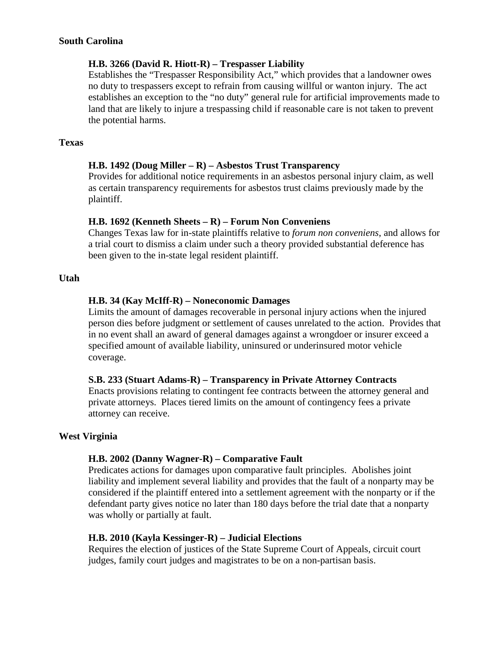### **South Carolina**

### **H.B. 3266 (David R. Hiott-R) – Trespasser Liability**

Establishes the "Trespasser Responsibility Act," which provides that a landowner owes no duty to trespassers except to refrain from causing willful or wanton injury. The act establishes an exception to the "no duty" general rule for artificial improvements made to land that are likely to injure a trespassing child if reasonable care is not taken to prevent the potential harms.

### **Texas**

# **H.B. 1492 (Doug Miller – R) – Asbestos Trust Transparency**

Provides for additional notice requirements in an asbestos personal injury claim, as well as certain transparency requirements for asbestos trust claims previously made by the plaintiff.

### **H.B. 1692 (Kenneth Sheets – R) – Forum Non Conveniens**

Changes Texas law for in-state plaintiffs relative to *forum non conveniens*, and allows for a trial court to dismiss a claim under such a theory provided substantial deference has been given to the in-state legal resident plaintiff.

### **Utah**

### **H.B. 34 (Kay McIff-R) – Noneconomic Damages**

Limits the amount of damages recoverable in personal injury actions when the injured person dies before judgment or settlement of causes unrelated to the action. Provides that in no event shall an award of general damages against a wrongdoer or insurer exceed a specified amount of available liability, uninsured or underinsured motor vehicle coverage.

### **S.B. 233 (Stuart Adams-R) – Transparency in Private Attorney Contracts**

Enacts provisions relating to contingent fee contracts between the attorney general and private attorneys. Places tiered limits on the amount of contingency fees a private attorney can receive.

### **West Virginia**

# **H.B. 2002 (Danny Wagner-R) – Comparative Fault**

Predicates actions for damages upon comparative fault principles. Abolishes joint liability and implement several liability and provides that the fault of a nonparty may be considered if the plaintiff entered into a settlement agreement with the nonparty or if the defendant party gives notice no later than 180 days before the trial date that a nonparty was wholly or partially at fault.

### **H.B. 2010 (Kayla Kessinger-R) – Judicial Elections**

Requires the election of justices of the State Supreme Court of Appeals, circuit court judges, family court judges and magistrates to be on a non-partisan basis.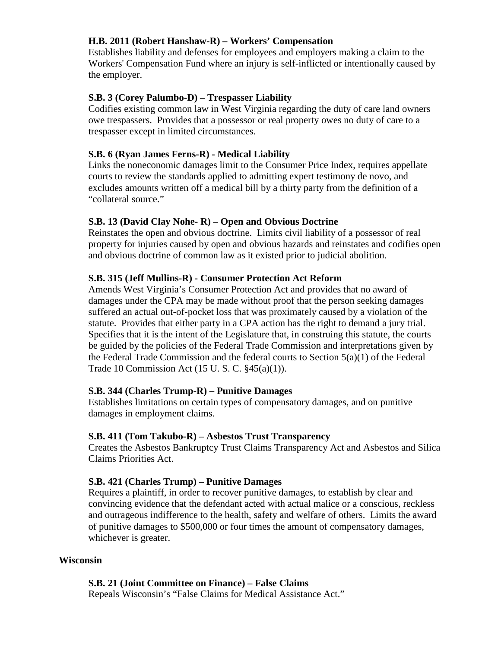# **H.B. 2011 (Robert Hanshaw-R) – Workers' Compensation**

Establishes liability and defenses for employees and employers making a claim to the Workers' Compensation Fund where an injury is self-inflicted or intentionally caused by the employer.

# **S.B. 3 (Corey Palumbo-D) – Trespasser Liability**

Codifies existing common law in West Virginia regarding the duty of care land owners owe trespassers. Provides that a possessor or real property owes no duty of care to a trespasser except in limited circumstances.

# **S.B. 6 (Ryan James Ferns-R) - Medical Liability**

Links the noneconomic damages limit to the Consumer Price Index, requires appellate courts to review the standards applied to admitting expert testimony de novo, and excludes amounts written off a medical bill by a thirty party from the definition of a "collateral source."

### **S.B. 13 (David Clay Nohe- R) – Open and Obvious Doctrine**

Reinstates the open and obvious doctrine. Limits civil liability of a possessor of real property for injuries caused by open and obvious hazards and reinstates and codifies open and obvious doctrine of common law as it existed prior to judicial abolition.

### **S.B. 315 (Jeff Mullins-R) - Consumer Protection Act Reform**

Amends West Virginia's Consumer Protection Act and provides that no award of damages under the CPA may be made without proof that the person seeking damages suffered an actual out-of-pocket loss that was proximately caused by a violation of the statute. Provides that either party in a CPA action has the right to demand a jury trial. Specifies that it is the intent of the Legislature that, in construing this statute, the courts be guided by the policies of the Federal Trade Commission and interpretations given by the Federal Trade Commission and the federal courts to Section  $5(a)(1)$  of the Federal Trade 10 Commission Act (15 U. S. C. §45(a)(1)).

# **S.B. 344 (Charles Trump-R) – Punitive Damages**

Establishes limitations on certain types of compensatory damages, and on punitive damages in employment claims.

### **S.B. 411 (Tom Takubo-R) – Asbestos Trust Transparency**

Creates the Asbestos Bankruptcy Trust Claims Transparency Act and Asbestos and Silica Claims Priorities Act.

# **S.B. 421 (Charles Trump) – Punitive Damages**

Requires a plaintiff, in order to recover punitive damages, to establish by clear and convincing evidence that the defendant acted with actual malice or a conscious, reckless and outrageous indifference to the health, safety and welfare of others. Limits the award of punitive damages to \$500,000 or four times the amount of compensatory damages, whichever is greater.

### **Wisconsin**

**S.B. 21 (Joint Committee on Finance) – False Claims**

Repeals Wisconsin's "False Claims for Medical Assistance Act."